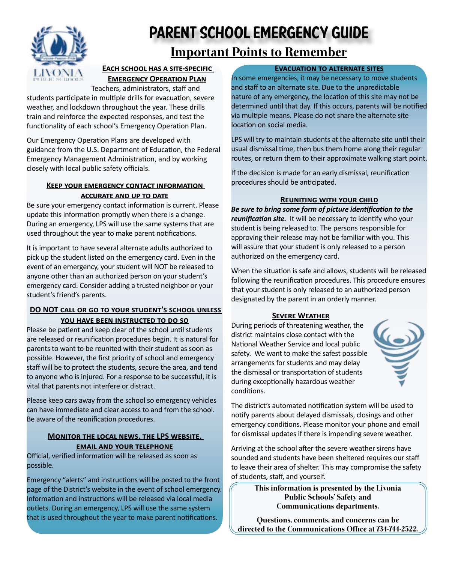

# Parent School Emergency Guide

# Important Points to Remember

# **EACH SCHOOL HAS A SITE-SPECIFIC Emergency Operation Plan**

[T](www.livoniapublicschools.org)eachers, administrators, staff and

students participate in multiple drills for evacuation, severe weather, and lockdown throughout the year. These drills train and reinforce the expected responses, and test the functionality of each school's Emergency Operation Plan.

Our Emergency Operation Plans are developed with guidance from the U.S. Department of Education, the Federal Emergency Management Administration, and by working closely with local public safety officials.

## **Keep your emergency contact information accurate and up to date**

Be sure your emergency contact information is current. Please update this information promptly when there is a change. During an emergency, LPS will use the same systems that are used throughout the year to make parent notifications.

It is important to have several alternate adults authorized to pick up the student listed on the emergency card. Even in the event of an emergency, your student will NOT be released to anyone other than an authorized person on your student's emergency card. Consider adding a trusted neighbor or your student's friend's parents.

# **DO NOT call or go to your student's school unless you have been instructed to do so**

Please be patient and keep clear of the school until students are released or reunification procedures begin. It is natural for parents to want to be reunited with their student as soon as possible. However, the first priority of school and emergency staff will be to protect the students, secure the area, and tend to anyone who is injured. For a response to be successful, it is vital that parents not interfere or distract.

Please keep cars away from the school so emergency vehicles can have immediate and clear access to and from the school. Be aware of the reunification procedures.

# **Monitor the local news, the LPS website, email and your telephone**

Official, verified information will be released as soon as possible.

Emergency "alerts" and instructions will be posted to the front page of the District's website in the event of school emergency. Information and instructions will be released via local media outlets. During an emergency, LPS will use the same system that is used throughout the year to make parent notifications.

### **Evacuation to alternate sites**

In some emergencies, it may be necessary to move students and staff to an alternate site. Due to the unpredictable nature of any emergency, the location of this site may not be determined until that day. If this occurs, parents will be notified via multiple means. Please do not share the alternate site location on social media.

LPS will try to maintain students at the alternate site until their usual dismissal time, then bus them home along their regular routes, or return them to their approximate walking start point.

If the decision is made for an early dismissal, reunification procedures should be anticipated.

# **Reuniting with your child**

*Be sure to bring some form of picture identification to the reunification site.* It will be necessary to identify who your student is being released to. The persons responsible for approving their release may not be familiar with you. This will assure that your student is only released to a person authorized on the emergency card.

When the situation is safe and allows, students will be released following the reunification procedures. This procedure ensures that your student is only released to an authorized person designated by the parent in an orderly manner.

### **SEVERE WEATHER**

During periods of threatening weather, the district maintains close contact with the National Weather Service and local public safety. We want to make the safest possible arrangements for students and may delay the dismissal or transportation of students during exceptionally hazardous weather conditions.



The district's automated notification system will be used to notify parents about delayed dismissals, closings and other emergency conditions. Please monitor your phone and email for dismissal updates if there is impending severe weather.

Arriving at the school after the severe weather sirens have sounded and students have been sheltered requires our staff to leave their area of shelter. This may compromise the safety of students, staff, and yourself.

> This information is presented by the Livonia Public Schools' Safety and Communications departments.

Questions, comments, and concerns can be directed to the Communications Office at 734-744-2522.